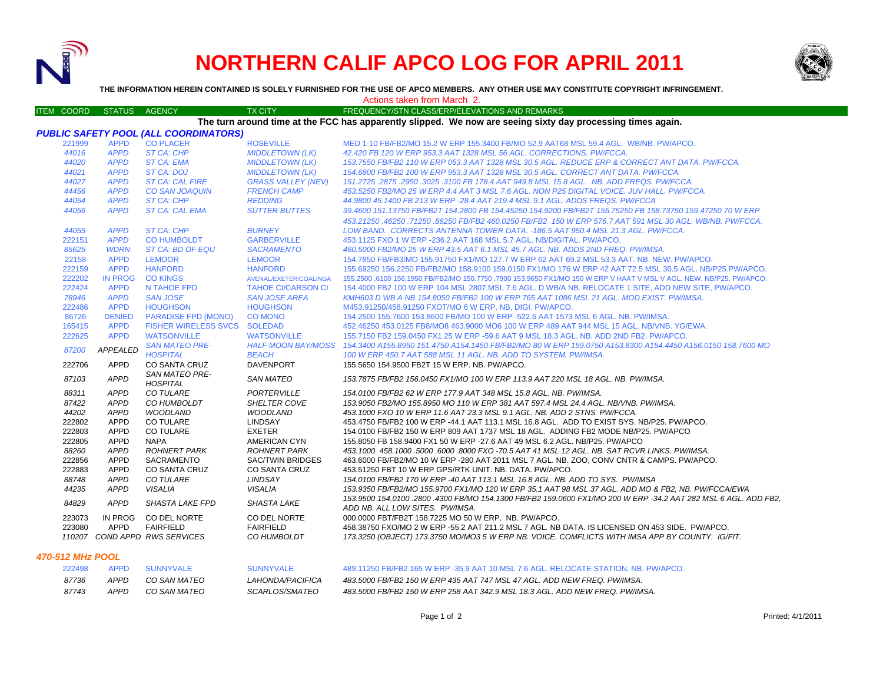

# **NORTHERN CALIF APCO LOG FOR APRIL 2011**



**THE INFORMATION HEREIN CONTAINED IS SOLELY FURNISHED FOR THE USE OF APCO MEMBERS. ANY OTHER USE MAY CONSTITUTE COPYRIGHT INFRINGEMENT.**

Actions taken from March 2.

#### ITEM COORD STATUS AGENCY TX CITY TIREQUENCY/STN CLASS/ERP/ELEVATIONS AND REMARKS **The turn around time at the FCC has apparently slipped. We now are seeing sixty day processing times again.**

|        |                 | <b>PUBLIC SAFETY POOL (ALL COORDINATORS)</b> |                           |                                                                                                                                                    |
|--------|-----------------|----------------------------------------------|---------------------------|----------------------------------------------------------------------------------------------------------------------------------------------------|
| 221999 | <b>APPD</b>     | <b>CO PLACER</b>                             | <b>ROSEVILLE</b>          | MED 1-10 FB/FB2/MO 15.2 W ERP 155.3400 FB/MO 52.9 AAT68 MSL 59.4 AGL, WB/NB, PW/APCO,                                                              |
| 44016  | <b>APPD</b>     | <b>ST CA: CHP</b>                            | <b>MIDDLETOWN (LK)</b>    | 42.420 FB 120 W ERP 953.3 AAT 1328 MSL 56 AGL, CORRECTIONS, PW/FCCA.                                                                               |
| 44020  | <b>APPD</b>     | <b>ST CA: EMA</b>                            | <b>MIDDLETOWN (LK)</b>    | 153.7550 FB/FB2 110 W ERP 053.3 AAT 1328 MSL 30.5 AGL. REDUCE ERP & CORRECT ANT DATA. PW/FCCA.                                                     |
| 44021  | <b>APPD</b>     | ST CA: DOJ                                   | <b>MIDDLETOWN (LK)</b>    | 154.6800 FB/FB2 100 W ERP 953.3 AAT 1328 MSL 30.5 AGL, CORRECT ANT DATA, PW/FCCA,                                                                  |
| 44027  | <b>APPD</b>     | <b>ST CA: CAL FIRE</b>                       | <b>GRASS VALLEY (NEV)</b> | 151.2725.2875.2950.3025.3100 FB 178.4 AAT 949.8 MSL 15.8 AGL, NB, ADD FREQS, PW/FCCA,                                                              |
| 44456  | <b>APPD</b>     | <b>CO SAN JOAQUIN</b>                        | <b>FRENCH CAMP</b>        | 453.5250 FB2/MO 25 W ERP 4.4 AAT 3 MSL 7.6 AGL. NON P25 DIGITAL VOICE. JUV HALL. PW/FCCA.                                                          |
| 44054  | <b>APPD</b>     | ST CA: CHP                                   | <b>REDDING</b>            | 44,9800 45,1400 FB 213 W ERP -28.4 AAT 219.4 MSL 9.1 AGL, ADDS FREQS, PW/FCCA                                                                      |
| 44056  | <b>APPD</b>     | <b>ST CA: CAL EMA</b>                        | <b>SUTTER BUTTES</b>      | 39.4600 151.13750 FB/FB2T 154.2800 FB 154.45250 154.9200 FB/FB2T 155.75250 FB 158.73750 159.47250 70 W ERP                                         |
|        |                 |                                              |                           | 453.21250.46250.71250.86250 FB/FB2 460.0250 FB/FB2 150 W ERP 576.7 AAT 591 MSL 30 AGL. WB/NB. PW/FCCA.                                             |
| 44055  | <b>APPD</b>     | ST CA: CHP                                   | <b>BURNEY</b>             | LOW BAND. CORRECTS ANTENNA TOWER DATA. -186.5 AAT 950.4 MSL 21.3 AGL. PW/FCCA.                                                                     |
| 222151 | <b>APPD</b>     | <b>CO HUMBOLDT</b>                           | <b>GARBERVILLE</b>        | 453.1125 FXO 1 W ERP -236.2 AAT 168 MSL 5.7 AGL. NB/DIGITAL. PW/APCO.                                                                              |
| 85625  | <b>WDRN</b>     | ST CA: BD OF EQU                             | <b>SACRAMENTO</b>         | 460.5000 FB2/MO 25 W ERP 43.5 AAT 6.1 MSL 45.7 AGL. NB. ADDS 2ND FREQ. PW/IMSA.                                                                    |
| 22158  | <b>APPD</b>     | <b>LEMOOR</b>                                | <b>LEMOOR</b>             | 154.7850 FB/FB3/MO 155.91750 FX1/MO 127.7 W ERP 62 AAT 69.2 MSL 53.3 AAT. NB. NEW. PW/APCO.                                                        |
| 222159 | <b>APPD</b>     | <b>HANFORD</b>                               | <b>HANFORD</b>            | 155.69250 156.2250 FB/FB2/MO 158.9100 159.0150 FX1/MO 176 W ERP 42 AAT 72.5 MSL 30.5 AGL, NB/P25.PW/APCO,                                          |
| 222202 | <b>IN PROG</b>  | <b>CO KINGS</b>                              | AVENAL/EXETER/COALINGA    | 155.2500 ,6100 156.1950 FB/FB2/MO 150.7750 ,7900 153.9650 FX1/MO 150 W ERP V HAAT V MSL V AGL. NEW. NB/P25. PW/APCO.                               |
| 222424 | <b>APPD</b>     | N TAHOE FPD                                  | <b>TAHOE CI/CARSON CI</b> | 154.4000 FB2 100 W ERP 104 MSL 2807 MSL 7.6 AGL, D WB/A NB, RELOCATE 1 SITE, ADD NEW SITE, PW/APCO,                                                |
| 78946  | <b>APPD</b>     | <b>SAN JOSE</b>                              | <b>SAN JOSE AREA</b>      | KMH603 D WB A NB 154.8050 FB/FB2 100 W ERP 765 AAT 1086 MSL 21 AGL, MOD EXIST, PW/IMSA.                                                            |
| 222486 | <b>APPD</b>     | <b>HOUGHSON</b>                              | <b>HOUGHSON</b>           | M453.91250/458.91250 FXOT/MO 6 W ERP. NB. DIGI. PW/APCO.                                                                                           |
| 86726  | <b>DENIED</b>   | <b>PARADISE FPD (MONO)</b>                   | <b>CO MONO</b>            | 154,2500 155,7600 153,8600 FB/MO 100 W ERP -522.6 AAT 1573 MSL 6 AGL, NB, PW/IMSA,                                                                 |
| 165415 | <b>APPD</b>     | FISHER WIRELESS SVCS SOLEDAD                 |                           | 452.46250 453.0125 FB8/MO8 463.9000 MO6 100 W ERP 489 AAT 944 MSL 15 AGL, NB/VNB, YG/EWA,                                                          |
| 222625 | <b>APPD</b>     | <b>WATSONVILLE</b>                           | <b>WATSONVILLE</b>        | 155.7150 FB2 159.0450 FX1 25 W ERP -59.6 AAT 9 MSL 18.3 AGL. NB. ADD 2ND FB2. PW/APCO.                                                             |
| 87200  | <b>APPEALED</b> | <b>SAN MATEO PRE-</b>                        |                           | HALF MOON BAY/MOSS 154.3400 A155.8950 151.4750 A154.1450 FB/FB2/MO 80 W ERP 159.0750 A153.8300 A154.4450 A156.0150 158.7600 MO                     |
|        |                 | <b>HOSPITAL</b>                              | <b>BEACH</b>              | 100 W ERP 450.7 AAT 588 MSL 11 AGL. NB. ADD TO SYSTEM. PW/IMSA.                                                                                    |
| 222706 | <b>APPD</b>     | <b>CO SANTA CRUZ</b>                         | <b>DAVENPORT</b>          | 155.5650 154.9500 FB2T 15 W ERP. NB. PW/APCO.                                                                                                      |
| 87103  | <b>APPD</b>     | <b>SAN MATEO PRE-</b>                        | <b>SAN MATEO</b>          | 153.7875 FB/FB2 156.0450 FX1/MO 100 W ERP 113.9 AAT 220 MSL 18 AGL. NB. PW/IMSA.                                                                   |
|        |                 | <b>HOSPITAL</b>                              |                           |                                                                                                                                                    |
| 88311  | <b>APPD</b>     | CO TULARE                                    | <b>PORTERVILLE</b>        | 154.0100 FB/FB2 62 W ERP 177.9 AAT 348 MSL 15.8 AGL. NB. PW/IMSA.                                                                                  |
| 87422  | <b>APPD</b>     | CO HUMBOLDT                                  | SHELTER COVE              | 153.9050 FB2/MO 155.8950 MO 110 W ERP 381 AAT 597.4 MSL 24.4 AGL. NB/VNB. PW/IMSA.                                                                 |
| 44202  | <b>APPD</b>     | <b>WOODLAND</b>                              | <b>WOODLAND</b>           | 453.1000 FXO 10 W ERP 11.6 AAT 23.3 MSL 9.1 AGL. NB. ADD 2 STNS. PW/FCCA.                                                                          |
| 222802 | APPD            | <b>CO TULARE</b>                             | LINDSAY                   | 453.4750 FB/FB2 100 W ERP -44.1 AAT 113.1 MSL 16.8 AGL. ADD TO EXIST SYS. NB/P25. PW/APCO.                                                         |
| 222803 | APPD            | <b>CO TULARE</b>                             | <b>EXETER</b>             | 154.0100 FB/FB2 150 W ERP 809 AAT 1737 MSL 18 AGL. ADDING FB2 MODE NB/P25. PW/APCO                                                                 |
| 222805 | <b>APPD</b>     | <b>NAPA</b>                                  | <b>AMERICAN CYN</b>       | 155,8050 FB 158,9400 FX1 50 W ERP -27.6 AAT 49 MSL 6.2 AGL, NB/P25, PW/APCO                                                                        |
| 88260  | <b>APPD</b>     | <b>ROHNERT PARK</b>                          | <b>ROHNERT PARK</b>       | 453.1000 458.1000 5000 6000 8000 FXO -70.5 AAT 41 MSL 12 AGL. NB. SAT RCVR LINKS. PW/IMSA.                                                         |
| 222856 | <b>APPD</b>     | <b>SACRAMENTO</b>                            | <b>SAC/TWIN BRIDGES</b>   | 463.6000 FB/FB2/MO 10 W ERP -280 AAT 2011 MSL 7 AGL. NB. ZOO, CONV CNTR & CAMPS. PW/APCO.                                                          |
| 222883 | <b>APPD</b>     | <b>CO SANTA CRUZ</b>                         | <b>CO SANTA CRUZ</b>      | 453.51250 FBT 10 W ERP GPS/RTK UNIT, NB, DATA, PW/APCO,                                                                                            |
| 88748  | <b>APPD</b>     | CO TULARE                                    | <b>LINDSAY</b>            | 154.0100 FB/FB2 170 W ERP -40 AAT 113.1 MSL 16.8 AGL. NB. ADD TO SYS. PW/IMSA                                                                      |
| 44235  | <b>APPD</b>     | <b>VISALIA</b>                               | <b>VISALIA</b>            | 153.9350 FB/FB2/MO 155.9700 FX1/MO 120 W ERP 35.1 AAT 98 MSL 37 AGL. ADD MO & FB2. NB. PW/FCCA/EWA                                                 |
| 84829  | <b>APPD</b>     | SHASTA LAKE FPD                              | <b>SHASTA LAKE</b>        | 153.9500 154.0100 .2800 .4300 FB/MO 154.1300 FB/FB2 159.0600 FX1/MO 200 W ERP -34.2 AAT 282 MSL 6 AGL. ADD FB2.<br>ADD NB. ALL LOW SITES. PW/IMSA. |
| 223073 | IN PROG         | CO DEL NORTE                                 | CO DEL NORTE              | 000.0000 FBT/FB2T 158.7225 MO 50 W ERP. NB. PW/APCO.                                                                                               |
| 223080 | APPD            | <b>FAIRFIELD</b>                             | <b>FAIRFIELD</b>          | 458.38750 FXO/MO 2 W ERP -55.2 AAT 211.2 MSL 7 AGL. NB DATA. IS LICENSED ON 453 SIDE. PW/APCO.                                                     |
|        |                 | 110207 COND APPD RWS SERVICES                | CO HUMBOLDT               | 173.3250 (OBJECT) 173.3750 MO/MO3 5 W ERP NB. VOICE. COMFLICTS WITH IMSA APP BY COUNTY. IG/FIT.                                                    |

*470-512 MHz POOL*

| 222498 | APPD | SUNNYVALE    | SUNNYVALE.            | 489.11250 FB/FB2 165 W ERP -35.9 AAT 10 MSL 7.6 AGL. RELOCATE STATION, NB, PW/APCO, |
|--------|------|--------------|-----------------------|-------------------------------------------------------------------------------------|
| 87736  | APPD | CO SAN MATEO | LAHONDA/PACIFICA      | 483.5000 FB/FB2 150 W ERP 435 AAT 747 MSL 47 AGL. ADD NEW FREQ. PW/IMSA.            |
| 87743  | APPD | CO SAN MATEO | <i>SCARLOS/SMATEO</i> | 483.5000 FB/FB2 150 W ERP 258 AAT 342.9 MSL 18.3 AGL. ADD NEW FREQ. PW/IMSA.        |